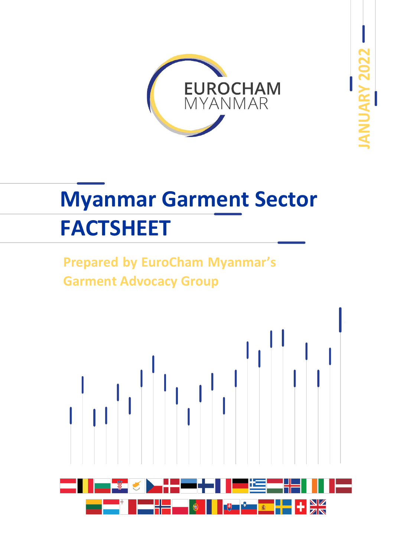

**JANUARY 2022**

# **Myanmar Garment Sector FACTSHEET**

# **Prepared by EuroCham Myanmar's Garment Advocacy Group**

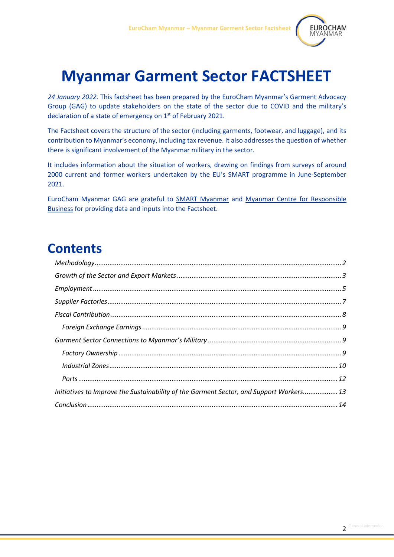

# **Myanmar Garment Sector FACTSHEET**

*24 January 2022.* This factsheet has been prepared by the EuroCham Myanmar's Garment Advocacy Group (GAG) to update stakeholders on the state of the sector due to COVID and the military's declaration of a state of emergency on 1<sup>st</sup> of February 2021.

The Factsheet covers the structure of the sector (including garments, footwear, and luggage), and its contribution to Myanmar's economy, including tax revenue. It also addresses the question of whether there is significant involvement of the Myanmar military in the sector.

It includes information about the situation of workers, drawing on findings from surveys of around 2000 current and former workers undertaken by the EU's SMART programme in June-September 2021.

<span id="page-1-0"></span>EuroCham Myanmar GAG are grateful to [SMART](https://smartmyanmar.org/en) [Myanmar](https://smartmyanmar.org/en) and [Myanmar Centre for Responsible](https://www.myanmar-responsiblebusiness.org/)  [Business](https://www.myanmar-responsiblebusiness.org/) for providing data and inputs into the Factsheet.

# **Contents**

| Initiatives to Improve the Sustainability of the Garment Sector, and Support Workers 13 |  |
|-----------------------------------------------------------------------------------------|--|
|                                                                                         |  |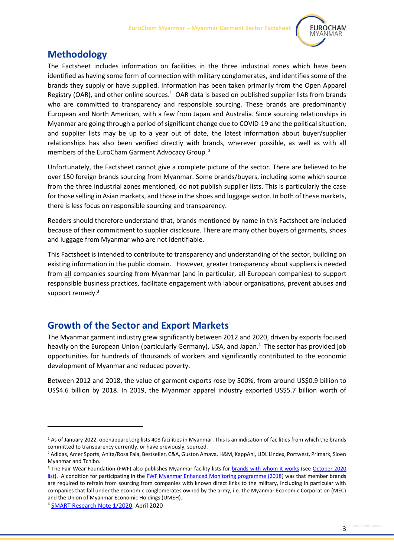

#### **Methodology**

The Factsheet includes information on facilities in the three industrial zones which have been identified as having some form of connection with military conglomerates, and identifies some of the brands they supply or have supplied. Information has been taken primarily from the Open Apparel Registry (OAR), and other online sources.<sup>1</sup> OAR data is based on published supplier lists from brands who are committed to transparency and responsible sourcing. These brands are predominantly European and North American, with a few from Japan and Australia. Since sourcing relationships in Myanmar are going through a period of significant change due to COVID-19 and the political situation, and supplier lists may be up to a year out of date, the latest information about buyer/supplier relationships has also been verified directly with brands, wherever possible, as well as with all members of the EuroCham Garment Advocacy Group. <sup>2</sup>

Unfortunately, the Factsheet cannot give a complete picture of the sector. There are believed to be over 150 foreign brands sourcing from Myanmar. Some brands/buyers, including some which source from the three industrial zones mentioned, do not publish supplier lists. This is particularly the case for those selling in Asian markets, and those in the shoes and luggage sector. In both of these markets, there is less focus on responsible sourcing and transparency.

Readers should therefore understand that, brands mentioned by name in this Factsheet are included because of their commitment to supplier disclosure. There are many other buyers of garments, shoes and luggage from Myanmar who are not identifiable.

This Factsheet is intended to contribute to transparency and understanding of the sector, building on existing information in the public domain. However, greater transparency about suppliers is needed from all companies sourcing from Myanmar (and in particular, all European companies) to support responsible business practices, facilitate engagement with labour organisations, prevent abuses and support remedy.<sup>3</sup>

#### <span id="page-2-0"></span>**Growth of the Sector and Export Markets**

The Myanmar garment industry grew significantly between 2012 and 2020, driven by exports focused heavily on the European Union (particularly Germany), USA, and Japan.<sup>4</sup> The sector has provided job opportunities for hundreds of thousands of workers and significantly contributed to the economic development of Myanmar and reduced poverty.

Between 2012 and 2018, the value of garment exports rose by 500%, from around US\$0.9 billion to US\$4.6 billion by 2018. In 2019, the Myanmar apparel industry exported US\$5.7 billion worth of

4 [SMART Research Note 1/2020,](https://smartmyanmar.org/sites/smartmyanmar.org/files/publication_docs/smart_research_note_april_2020.pdf) April 2020

<sup>1</sup> As of January 2022, openapparel.org lists 408 facilities in Myanmar. This is an indication of facilities from which the brands committed to transparency currently, or have previously, sourced.

<sup>2</sup> Adidas, Amer Sports, Anita/Rosa Faia, Bestseller, C&A, Guston Amava, H&M, KappAhl, LIDL Lindex, Portwest, Primark, Sioen Myanmar and Tchibo.

<sup>&</sup>lt;sup>3</sup> The Fair Wear Foundation (FWF) also publishes Myanmar facility lists for **brands with whom it works** (see October 2020 [list\)](https://api.fairwear.org/wp-content/uploads/2019/02/Supplier-list-Myanmar-update-October-2020.pdf). A condition for participating in the **FWF Myanmar Enhanced Monitoring programme** (2018) was that member brands are required to refrain from sourcing from companies with known direct links to the military, including in particular with companies that fall under the economic conglomerates owned by the army, i.e. the Myanmar Economic Corporation (MEC) and the Union of Myanmar Economic Holdings (UMEH).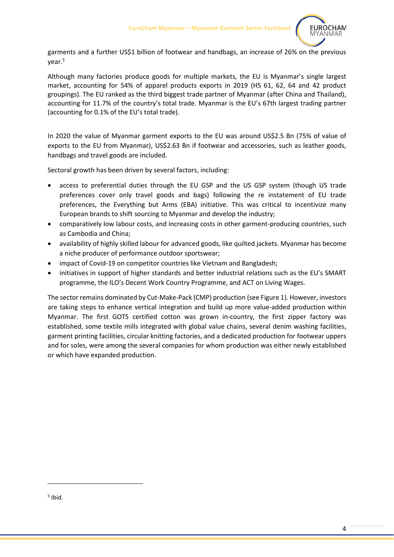

garments and a further US\$1 billion of footwear and handbags, an increase of 26% on the previous year.<sup>5</sup>

Although many factories produce goods for multiple markets, the EU is Myanmar's single largest market, accounting for 54% of apparel products exports in 2019 (HS 61, 62, 64 and 42 product groupings). The EU ranked as the third biggest trade partner of Myanmar (after China and Thailand), accounting for 11.7% of the country's total trade. Myanmar is the EU's 67th largest trading partner (accounting for 0.1% of the EU's total trade).

In 2020 the value of Myanmar garment exports to the EU was around US\$2.5 Bn (75% of value of exports to the EU from Myanmar), US\$2.63 Bn if footwear and accessories, such as leather goods, handbags and travel goods are included.

Sectoral growth has been driven by several factors, including:

- access to preferential duties through the EU GSP and the US GSP system (though US trade preferences cover only travel goods and bags) following the re instatement of EU trade preferences, the Everything but Arms (EBA) initiative. This was critical to incentivize many European brands to shift sourcing to Myanmar and develop the industry;
- comparatively low labour costs, and increasing costs in other garment-producing countries, such as Cambodia and China;
- availability of highly skilled labour for advanced goods, like quilted jackets. Myanmar has become a niche producer of performance outdoor sportswear;
- impact of Covid-19 on competitor countries like Vietnam and Bangladesh;
- initiatives in support of higher standards and better industrial relations such as the EU's SMART programme, the ILO's Decent Work Country Programme, and ACT on Living Wages.

The sector remains dominated by Cut-Make-Pack (CMP) production (see Figure 1). However, investors are taking steps to enhance vertical integration and build up more value-added production within Myanmar. The first GOTS certified cotton was grown in-country, the first zipper factory was established, some textile mills integrated with global value chains, several denim washing facilities, garment printing facilities, circular knitting factories, and a dedicated production for footwear uppers and for soles, were among the several companies for whom production was either newly established or which have expanded production.

<sup>5</sup> Ibid.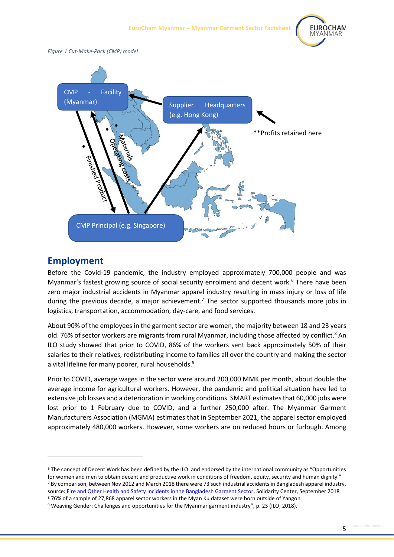

*Figure 1 Cut-Make-Pack (CMP) model*



#### <span id="page-4-0"></span>**Employment**

Before the Covid-19 pandemic, the industry employed approximately 700,000 people and was Myanmar's fastest growing source of social security enrolment and decent work.<sup>6</sup> There have been zero major industrial accidents in Myanmar apparel industry resulting in mass injury or loss of life during the previous decade, a major achievement.<sup>7</sup> The sector supported thousands more jobs in logistics, transportation, accommodation, day-care, and food services.

About 90% of the employees in the garment sector are women, the majority between 18 and 23 years old. 76% of sector workers are migrants from rural Myanmar, including those affected by conflict.<sup>8</sup> An ILO study showed that prior to COVID, 86% of the workers sent back approximately 50% of their salaries to their relatives, redistributing income to families all over the country and making the sector a vital lifeline for many poorer, rural households.<sup>9</sup>

Prior to COVID, average wages in the sector were around 200,000 MMK per month, about double the average income for agricultural workers. However, the pandemic and political situation have led to extensive job losses and a deterioration in working conditions. SMART estimates that 60,000 jobs were lost prior to 1 February due to COVID, and a further 250,000 after. The Myanmar Garment Manufacturers Association (MGMA) estimates that in September 2021, the apparel sector employed approximately 480,000 workers. However, some workers are on reduced hours or furlough. Among

<sup>&</sup>lt;sup>6</sup> The concept of Decent Work has been defined by the ILO. and endorsed by the international community as "Opportunities for women and men to obtain decent and productive work in conditions of freedom, equity, security and human dignity." <sup>7</sup> By comparison, between Nov 2012 and March 2018 there were 73 such industrial accidents in Bangladesh apparel industry, source: [Fire and Other Health and Safety Incidents in the Bangladesh Garment Sector,](https://www.solidaritycenter.org/wp-content/uploads/2018/04/Bangladesh-Safety-Incident-Chart.4.9.18.pdf) Solidarity Center, September 2018 <sup>8</sup> 76% of a sample of 27,868 apparel sector workers in the Myan Ku dataset were born outside of Yangon

<sup>9</sup> Weaving Gender: Challenges and opportunities for the Myanmar garment industry", p. 23 (ILO, 2018).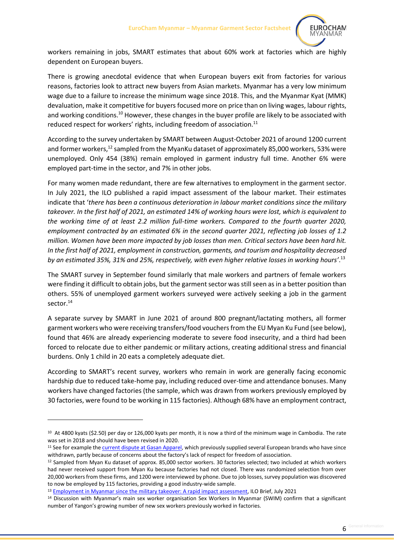

workers remaining in jobs, SMART estimates that about 60% work at factories which are highly dependent on European buyers.

There is growing anecdotal evidence that when European buyers exit from factories for various reasons, factories look to attract new buyers from Asian markets. Myanmar has a very low minimum wage due to a failure to increase the minimum wage since 2018. This, and the Myanmar Kyat (MMK) devaluation, make it competitive for buyers focused more on price than on living wages, labour rights, and working conditions.<sup>10</sup> However, these changes in the buyer profile are likely to be associated with reduced respect for workers' rights, including freedom of association.<sup>11</sup>

According to the survey undertaken by SMART between August-October 2021 of around 1200 current and former workers,<sup>12</sup> sampled from the MyanKu dataset of approximately 85,000 workers, 53% were unemployed. Only 454 (38%) remain employed in garment industry full time. Another 6% were employed part-time in the sector, and 7% in other jobs.

For many women made redundant, there are few alternatives to employment in the garment sector. In July 2021, the ILO published a rapid impact assessment of the labour market. Their estimates indicate that '*there has been a continuous deterioration in labour market conditions since the military takeover. In the first half of 2021, an estimated 14% of working hours were lost, which is equivalent to the working time of at least 2.2 million full-time workers. Compared to the fourth quarter 2020, employment contracted by an estimated 6% in the second quarter 2021, reflecting job losses of 1.2 million. Women have been more impacted by job losses than men. Critical sectors have been hard hit. In the first half of 2021, employment in construction, garments, and tourism and hospitality decreased by an estimated 35%, 31% and 25%, respectively, with even higher relative losses in working hours'*. 13

The SMART survey in September found similarly that male workers and partners of female workers were finding it difficult to obtain jobs, but the garment sector was still seen as in a better position than others. 55% of unemployed garment workers surveyed were actively seeking a job in the garment sector.<sup>14</sup>

A separate survey by SMART in June 2021 of around 800 pregnant/lactating mothers, all former garment workers who were receiving transfers/food vouchers from the EU Myan Ku Fund (see below), found that 46% are already experiencing moderate to severe food insecurity, and a third had been forced to relocate due to either pandemic or military actions, creating additional stress and financial burdens. Only 1 child in 20 eats a completely adequate diet.

According to SMART's recent survey, workers who remain in work are generally facing economic hardship due to reduced take-home pay, including reduced over-time and attendance bonuses. Many workers have changed factories (the sample, which was drawn from workers previously employed by 30 factories, were found to be working in 115 factories). Although 68% have an employment contract,

<sup>&</sup>lt;sup>10</sup> At 4800 kyats (\$2.50) per day or 126,000 kyats per month, it is now a third of the minimum wage in Cambodia. The rate was set in 2018 and should have been revised in 2020.

<sup>&</sup>lt;sup>11</sup> See for example the *current dispute at Gasan Apparel,* which previously supplied several European brands who have since withdrawn, partly because of concerns about the factory's lack of respect for freedom of association.

<sup>&</sup>lt;sup>12</sup> Sampled from Myan Ku dataset of approx. 85,000 sector workers. 30 factories selected; two included at which workers had never received support from Myan Ku because factories had not closed. There was randomized selection from over 20,000 workers from these firms, and 1200 were interviewed by phone. Due to job losses, survey population was discovered to now be employed by 115 factories, providing a good industry-wide sample.

<sup>13</sup> [Employment in Myanmar since the military takeover: A rapid impact assessment,](https://www.ilo.org/wcmsp5/groups/public/---asia/---ro-bangkok/---ilo-yangon/documents/publication/wcms_814681.pdf) ILO Brief, July 2021

<sup>14</sup> Discussion with Myanmar's main sex worker organisation Sex Workers In Myanmar (SWIM) confirm that a significant number of Yangon's growing number of new sex workers previously worked in factories.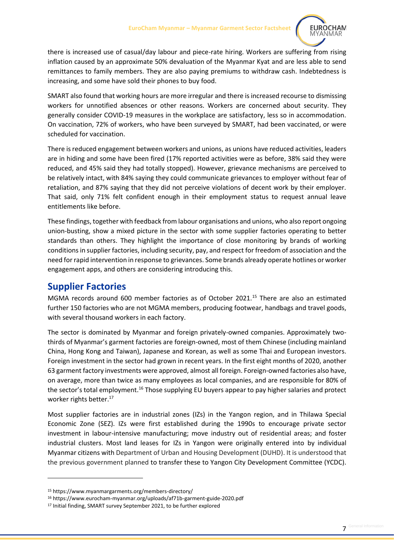

there is increased use of casual/day labour and piece-rate hiring. Workers are suffering from rising inflation caused by an approximate 50% devaluation of the Myanmar Kyat and are less able to send remittances to family members. They are also paying premiums to withdraw cash. Indebtedness is increasing, and some have sold their phones to buy food.

SMART also found that working hours are more irregular and there is increased recourse to dismissing workers for unnotified absences or other reasons. Workers are concerned about security. They generally consider COVID-19 measures in the workplace are satisfactory, less so in accommodation. On vaccination, 72% of workers, who have been surveyed by SMART, had been vaccinated, or were scheduled for vaccination.

There is reduced engagement between workers and unions, as unions have reduced activities, leaders are in hiding and some have been fired (17% reported activities were as before, 38% said they were reduced, and 45% said they had totally stopped). However, grievance mechanisms are perceived to be relatively intact, with 84% saying they could communicate grievances to employer without fear of retaliation, and 87% saying that they did not perceive violations of decent work by their employer. That said, only 71% felt confident enough in their employment status to request annual leave entitlements like before.

These findings, together with feedback from labour organisations and unions, who also report ongoing union-busting, show a mixed picture in the sector with some supplier factories operating to better standards than others. They highlight the importance of close monitoring by brands of working conditionsin supplier factories, including security, pay, and respect for freedom of association and the need for rapid intervention in response to grievances. Some brands already operate hotlines or worker engagement apps, and others are considering introducing this.

#### <span id="page-6-0"></span>**Supplier Factories**

MGMA records around 600 member factories as of October 2021.<sup>15</sup> There are also an estimated further 150 factories who are not MGMA members, producing footwear, handbags and travel goods, with several thousand workers in each factory.

The sector is dominated by Myanmar and foreign privately-owned companies. Approximately twothirds of Myanmar's garment factories are foreign-owned, most of them Chinese (including mainland China, Hong Kong and Taiwan), Japanese and Korean, as well as some Thai and European investors. Foreign investment in the sector had grown in recent years. In the first eight months of 2020, another 63 garment factory investments were approved, almost all foreign. Foreign-owned factories also have, on average, more than twice as many employees as local companies, and are responsible for 80% of the sector's total employment.<sup>16</sup> Those supplying EU buyers appear to pay higher salaries and protect worker rights better.<sup>17</sup>

Most supplier factories are in industrial zones (IZs) in the Yangon region, and in Thilawa Special Economic Zone (SEZ). IZs were first established during the 1990s to encourage private sector investment in labour-intensive manufacturing; move industry out of residential areas; and foster industrial clusters. Most land leases for IZs in Yangon were originally entered into by individual Myanmar citizens with Department of Urban and Housing Development (DUHD). It is understood that the previous government planned to transfer these to Yangon City Development Committee (YCDC).

<sup>15</sup> https://www.myanmargarments.org/members-directory/

<sup>16</sup> https://www.eurocham-myanmar.org/uploads/af71b-garment-guide-2020.pdf

<sup>17</sup> Initial finding, SMART survey September 2021, to be further explored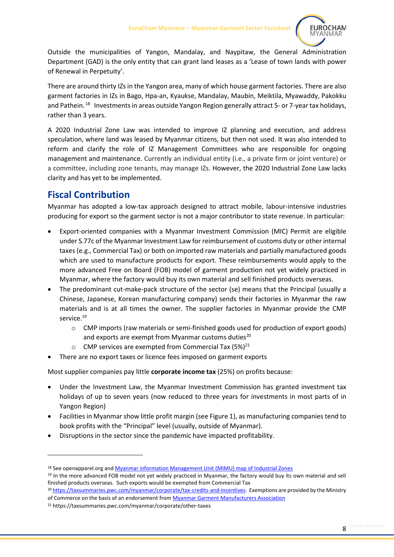

Outside the municipalities of Yangon, Mandalay, and Naypitaw, the General Administration Department (GAD) is the only entity that can grant land leases as a 'Lease of town lands with power of Renewal in Perpetuity'.

There are around thirty IZs in the Yangon area, many of which house garment factories. There are also garment factories in IZs in Bago, Hpa-an, Kyaukse, Mandalay, Maubin, Meiktila, Myawaddy, Pakokku and Pathein.<sup>18</sup> Investments in areas outside Yangon Region generally attract 5- or 7-year tax holidays, rather than 3 years.

A 2020 Industrial Zone Law was intended to improve IZ planning and execution, and address speculation, where land was leased by Myanmar citizens, but then not used. It was also intended to reform and clarify the role of IZ Management Committees who are responsible for ongoing management and maintenance. Currently an individual entity (i.e., a private firm or joint venture) or a committee, including zone tenants, may manage IZs. However, the 2020 Industrial Zone Law lacks clarity and has yet to be implemented.

### <span id="page-7-0"></span>**Fiscal Contribution**

Myanmar has adopted a low-tax approach designed to attract mobile, labour-intensive industries producing for export so the garment sector is not a major contributor to state revenue. In particular:

- Export-oriented companies with a Myanmar Investment Commission (MIC) Permit are eligible under S.77c of the Myanmar Investment Law for reimbursement of customs duty or other internal taxes (e.g., Commercial Tax) or both on imported raw materials and partially manufactured goods which are used to manufacture products for export. These reimbursements would apply to the more advanced Free on Board (FOB) model of garment production not yet widely practiced in Myanmar, where the factory would buy its own material and sell finished products overseas.
- The predominant cut-make-pack structure of the sector (se) means that the Principal (usually a Chinese, Japanese, Korean manufacturing company) sends their factories in Myanmar the raw materials and is at all times the owner. The supplier factories in Myanmar provide the CMP service. 19
	- o CMP imports (raw materials or semi-finished goods used for production of export goods) and exports are exempt from Myanmar customs duties<sup>20</sup>
	- CMP services are exempted from Commercial Tax  $(5\%)^{21}$
- There are no export taxes or licence fees imposed on garment exports

Most supplier companies pay little **corporate income tax** (25%) on profits because:

- Under the Investment Law, the Myanmar Investment Commission has granted investment tax holidays of up to seven years (now reduced to three years for investments in most parts of in Yangon Region)
- Facilities in Myanmar show little profit margin (see Figure 1), as manufacturing companies tend to book profits with the "Principal" level (usually, outside of Myanmar).
- Disruptions in the sector since the pandemic have impacted profitability.

<sup>18</sup> See openapparel.org and [Myanmar information Management Unit \(MIMU\) map of Industrial Zones](https://geonode.themimu.info/layers/geonode%3Aindustrial__special_economic_zones_sept2019)

<sup>&</sup>lt;sup>19</sup> In the more advanced FOB model not yet widely practiced in Myanmar, the factory would buy its own material and sell finished products overseas. Such exports would be exempted from Commercial Tax

<sup>20</sup> [https://taxsummaries.pwc.com/myanmar/corporate/tax-credits-and-incentives.](https://taxsummaries.pwc.com/myanmar/corporate/tax-credits-and-incentives) Exemptions are provided by the Ministry of Commerce on the basis of an endorsement from [Myanmar Garment Manufacturers Association](https://www.myanmargarments.org/fully-online-lincense/) 

<sup>21</sup> https://taxsummaries.pwc.com/myanmar/corporate/other-taxes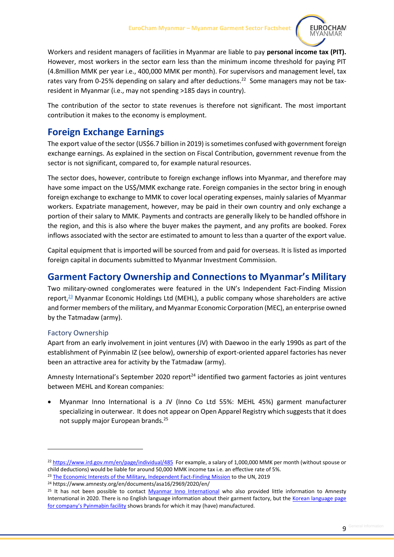

Workers and resident managers of facilities in Myanmar are liable to pay **personal income tax (PIT).** However, most workers in the sector earn less than the minimum income threshold for paying PIT (4.8million MMK per year i.e., 400,000 MMK per month). For supervisors and management level, tax rates vary from 0-25% depending on salary and after deductions.<sup>22</sup> Some managers may not be taxresident in Myanmar (i.e., may not spending >185 days in country).

The contribution of the sector to state revenues is therefore not significant. The most important contribution it makes to the economy is employment.

## <span id="page-8-0"></span>**Foreign Exchange Earnings**

The export value of the sector (US\$6.7 billion in 2019) is sometimes confused with government foreign exchange earnings. As explained in the section on Fiscal Contribution, government revenue from the sector is not significant, compared to, for example natural resources.

The sector does, however, contribute to foreign exchange inflows into Myanmar, and therefore may have some impact on the US\$/MMK exchange rate. Foreign companies in the sector bring in enough foreign exchange to exchange to MMK to cover local operating expenses, mainly salaries of Myanmar workers. Expatriate management, however, may be paid in their own country and only exchange a portion of their salary to MMK. Payments and contracts are generally likely to be handled offshore in the region, and this is also where the buyer makes the payment, and any profits are booked. Forex inflows associated with the sector are estimated to amount to less than a quarter of the export value.

Capital equipment that is imported will be sourced from and paid for overseas. It is listed as imported foreign capital in documents submitted to Myanmar Investment Commission.

### <span id="page-8-1"></span>**Garment Factory Ownership and Connections to Myanmar's Military**

Two military-owned conglomerates were featured in the UN's Independent Fact-Finding Mission report,<sup>23</sup> Myanmar Economic Holdings Ltd (MEHL), a public company whose shareholders are active and former members of the military, and Myanmar Economic Corporation (MEC), an enterprise owned by the Tatmadaw (army).

#### <span id="page-8-2"></span>Factory Ownership

Apart from an early involvement in joint ventures (JV) with Daewoo in the early 1990s as part of the establishment of Pyinmabin IZ (see below), ownership of export-oriented apparel factories has never been an attractive area for activity by the Tatmadaw (army).

Amnesty International's September 2020 report<sup>24</sup> identified two garment factories as joint ventures between MEHL and Korean companies:

• Myanmar Inno International is a JV (Inno Co Ltd 55%: MEHL 45%) garment manufacturer specializing in outerwear. It does not appear on Open Apparel Registry which suggests that it does not supply major European brands.<sup>25</sup>

<sup>22</sup> <https://www.ird.gov.mm/en/page/individual/485>For example, a salary of 1,000,000 MMK per month (without spouse or child deductions) would be liable for around 50,000 MMK income tax i.e. an effective rate of 5%.

<sup>&</sup>lt;sup>23</sup> [The Economic Interests of the Military, Independent Fact-Finding Mission](https://www.ohchr.org/Documents/HRBodies/HRCouncil/FFM-Myanmar/EconomicInterestsMyanmarMilitary/A_HRC_42_CRP_3.pdf) to the UN, 2019

<sup>24</sup> https://www.amnesty.org/en/documents/asa16/2969/2020/en/

<sup>&</sup>lt;sup>25</sup> It has not been possible to contact [Myanmar Inno](https://www.myco.dica.gov.mm/Corp/EntityProfile.aspx?id=331d6fb0-86a3-40b1-8f3f-bdd9154c4d37) International who also provided little information to Amnesty International in 2020. There is no English language information about their garment factory, but the [Korean language page](http://www.my-innogroup.com/?page_id=3162#1540341255160-dd677536-e248)  for company's [Pyinmabin facility](http://www.my-innogroup.com/?page_id=3162#1540341255160-dd677536-e248) shows brands for which it may (have) manufactured.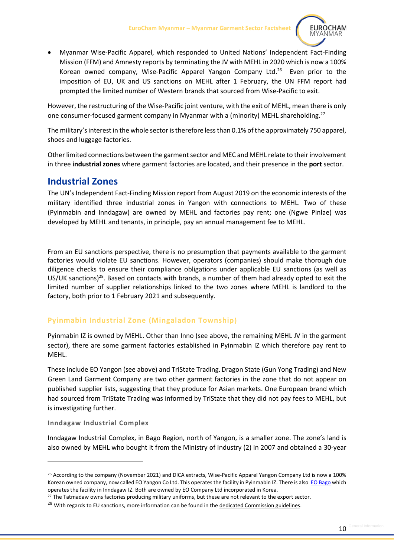

• Myanmar Wise-Pacific Apparel, which responded to United Nations' Independent Fact-Finding Mission (FFM) and Amnesty reports by terminating the JV with MEHL in 2020 which is now a 100% Korean owned company, Wise-Pacific Apparel Yangon Company Ltd. 26 Even prior to the imposition of EU, UK and US sanctions on MEHL after 1 February, the UN FFM report had prompted the limited number of Western brands that sourced from Wise-Pacific to exit.

However, the restructuring of the Wise-Pacific joint venture, with the exit of MEHL, mean there is only one consumer-focused garment company in Myanmar with a (minority) MEHL shareholding.<sup>27</sup>

The military's interest in the whole sector is therefore less than 0.1% of the approximately 750 apparel, shoes and luggage factories.

Other limited connections between the garment sector and MEC and MEHL relate to their involvement in three **industrial zones** where garment factories are located, and their presence in the **port** sector.

### <span id="page-9-0"></span>**Industrial Zones**

The UN's Independent Fact-Finding Mission report from August 2019 on the economic interests of the military identified three industrial zones in Yangon with connections to MEHL. Two of these (Pyinmabin and Inndagaw) are owned by MEHL and factories pay rent; one (Ngwe Pinlae) was developed by MEHL and tenants, in principle, pay an annual management fee to MEHL.

From an EU sanctions perspective, there is no presumption that payments available to the garment factories would violate EU sanctions. However, operators (companies) should make thorough due diligence checks to ensure their compliance obligations under applicable EU sanctions (as well as US/UK sanctions)<sup>28</sup>. Based on contacts with brands, a number of them had already opted to exit the limited number of supplier relationships linked to the two zones where MEHL is landlord to the factory, both prior to 1 February 2021 and subsequently.

#### **Pyinmabin Industrial Zone (Mingaladon Township)**

Pyinmabin IZ is owned by MEHL. Other than Inno (see above, the remaining MEHL JV in the garment sector), there are some garment factories established in Pyinmabin IZ which therefore pay rent to MEHL.

These include EO Yangon (see above) and TriState Trading. Dragon State (Gun Yong Trading) and New Green Land Garment Company are two other garment factories in the zone that do not appear on published supplier lists, suggesting that they produce for Asian markets. One European brand which had sourced from TriState Trading was informed by TriState that they did not pay fees to MEHL, but is investigating further.

#### **Inndagaw Industrial Complex**

Inndagaw Industrial Complex, in Bago Region, north of Yangon, is a smaller zone. The zone's land is also owned by MEHL who bought it from the Ministry of Industry (2) in 2007 and obtained a 30-year

<sup>&</sup>lt;sup>26</sup> According to the company (November 2021) and DICA extracts, Wise-Pacific Apparel Yangon Company Ltd is now a 100% Korean owned company, now called EO Yangon Co Ltd. This operates the facility in Pyinmabin IZ. There is also [EO Bago](https://www.myco.dica.gov.mm/Corp/EntityProfile.aspx?id=94b15b44-804b-4c89-8015-19e469f740e2) which operates the facility in Inndagaw IZ. Both are owned by EO Company Ltd incorporated in Korea.

<sup>&</sup>lt;sup>27</sup> The Tatmadaw owns factories producing military uniforms, but these are not relevant to the export sector.

<sup>&</sup>lt;sup>28</sup> With regards to EU sanctions, more information can be found in the [dedicated Commission guidelines.](https://ec.europa.eu/info/sites/default/files/business_economy_euro/banking_and_finance/documents/210511-restrictive-measures-myanmar-guidance-note_en.pdf)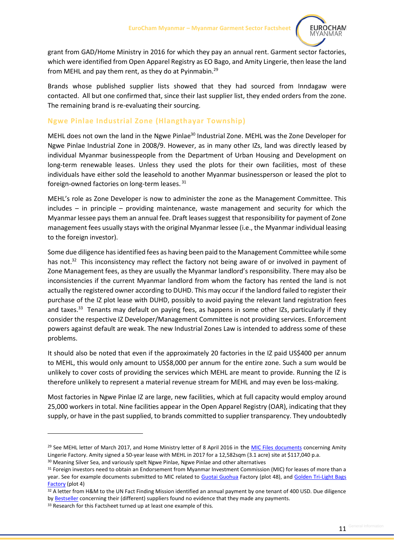

grant from GAD/Home Ministry in 2016 for which they pay an annual rent. Garment sector factories, which were identified from Open Apparel Registry as EO Bago, and Amity Lingerie, then lease the land from MEHL and pay them rent, as they do at Pyinmabin.<sup>29</sup>

Brands whose published supplier lists showed that they had sourced from Inndagaw were contacted. All but one confirmed that, since their last supplier list, they ended orders from the zone. The remaining brand is re-evaluating their sourcing.

#### **Ngwe Pinlae Industrial Zone (Hlangthayar Township)**

MEHL does not own the land in the Ngwe Pinlae<sup>30</sup> Industrial Zone. MEHL was the Zone Developer for Ngwe Pinlae Industrial Zone in 2008/9. However, as in many other IZs, land was directly leased by individual Myanmar businesspeople from the Department of Urban Housing and Development on long-term renewable leases. Unless they used the plots for their own facilities, most of these individuals have either sold the leasehold to another Myanmar businessperson or leased the plot to foreign-owned factories on long-term leases.<sup>31</sup>

MEHL's role as Zone Developer is now to administer the zone as the Management Committee. This includes – in principle – providing maintenance, waste management and security for which the Myanmar lessee pays them an annual fee. Draft leases suggest that responsibility for payment of Zone management fees usually stays with the original Myanmar lessee (i.e., the Myanmar individual leasing to the foreign investor).

Some due diligence hasidentified fees as having been paid to the Management Committee while some has not.<sup>32</sup> This inconsistency may reflect the factory not being aware of or involved in payment of Zone Management fees, as they are usually the Myanmar landlord's responsibility. There may also be inconsistencies if the current Myanmar landlord from whom the factory has rented the land is not actually the registered owner according to DUHD. This may occur if the landlord failed to register their purchase of the IZ plot lease with DUHD, possibly to avoid paying the relevant land registration fees and taxes.<sup>33</sup> Tenants may default on paying fees, as happens in some other IZs, particularly if they consider the respective IZ Developer/Management Committee is not providing services. Enforcement powers against default are weak. The new Industrial Zones Law is intended to address some of these problems.

It should also be noted that even if the approximately 20 factories in the IZ paid US\$400 per annum to MEHL, this would only amount to US\$8,000 per annum for the entire zone. Such a sum would be unlikely to cover costs of providing the services which MEHL are meant to provide. Running the IZ is therefore unlikely to represent a material revenue stream for MEHL and may even be loss-making.

Most factories in Ngwe Pinlae IZ are large, new facilities, which at full capacity would employ around 25,000 workers in total. Nine facilities appear in the Open Apparel Registry (OAR), indicating that they supply, or have in the past supplied, to brands committed to supplier transparency. They undoubtedly

<sup>&</sup>lt;sup>29</sup> See MEHL letter of March 2017, and Home Ministry letter of 8 April 2016 in the MIC [Files documents](https://micfiles.com/pdfs/1073/Amity%20Update.pdf) concerning Amity Lingerie Factory. Amity signed a 50-year lease with MEHL in 2017 for a 12,582sqm (3.1 acre) site at \$117,040 p.a.

<sup>&</sup>lt;sup>30</sup> Meaning Silver Sea, and variously spelt Ngwe Pinlae, Ngwe Pinlae and other alternatives

<sup>31</sup> Foreign investors need to obtain an Endorsement from Myanmar Investment Commission (MIC) for leases of more than a year. See for example documents submitted to MIC related to [Guotai Guohua](https://micfiles.com/pdfs/1228/U%20&%20G%20(Myanmar)%20PDF%20Complete.pdf) Factory (plot 48), and [Golden Tri-Light Bags](https://micfiles.com/pdfs/29/Golden%20Tri%20Light%20Myanmar%20Co.,Ltd%20(PDF).PDF)  [Factory](https://micfiles.com/pdfs/29/Golden%20Tri%20Light%20Myanmar%20Co.,Ltd%20(PDF).PDF) (plot 4)

<sup>32</sup> A letter from H&M to the UN Fact Finding Mission identified an annual payment by one tenant of 400 USD. Due diligence by [Bestseller](https://about.bestseller.com/news/independent-report-confirms-bestseller-s-proper-conduct-in-myanmar) concerning their (different) suppliers found no evidence that they made any payments.

<sup>&</sup>lt;sup>33</sup> Research for this Factsheet turned up at least one example of this.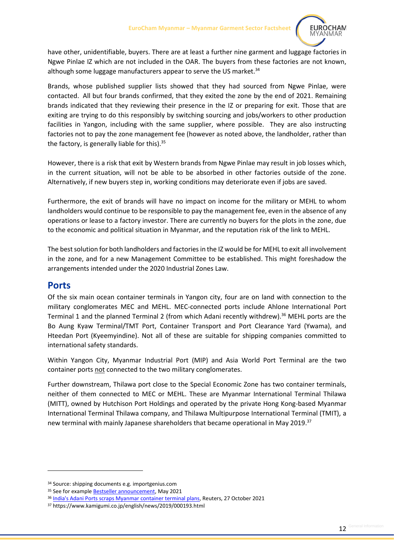

have other, unidentifiable, buyers. There are at least a further nine garment and luggage factories in Ngwe Pinlae IZ which are not included in the OAR. The buyers from these factories are not known, although some luggage manufacturers appear to serve the US market.<sup>34</sup>

Brands, whose published supplier lists showed that they had sourced from Ngwe Pinlae, were contacted. All but four brands confirmed, that they exited the zone by the end of 2021. Remaining brands indicated that they reviewing their presence in the IZ or preparing for exit. Those that are exiting are trying to do this responsibly by switching sourcing and jobs/workers to other production facilities in Yangon, including with the same supplier, where possible. They are also instructing factories not to pay the zone management fee (however as noted above, the landholder, rather than the factory, is generally liable for this).<sup>35</sup>

However, there is a risk that exit by Western brands from Ngwe Pinlae may result in job losses which, in the current situation, will not be able to be absorbed in other factories outside of the zone. Alternatively, if new buyers step in, working conditions may deteriorate even if jobs are saved.

Furthermore, the exit of brands will have no impact on income for the military or MEHL to whom landholders would continue to be responsible to pay the management fee, even in the absence of any operations or lease to a factory investor. There are currently no buyers for the plots in the zone, due to the economic and political situation in Myanmar, and the reputation risk of the link to MEHL.

The best solution for both landholders and factories in the IZ would be for MEHL to exit all involvement in the zone, and for a new Management Committee to be established. This might foreshadow the arrangements intended under the 2020 Industrial Zones Law.

#### <span id="page-11-0"></span>**Ports**

Of the six main ocean container terminals in Yangon city, four are on land with connection to the military conglomerates MEC and MEHL. MEC-connected ports include Ahlone International Port Terminal 1 and the planned Terminal 2 (from which Adani recently withdrew).<sup>36</sup> MEHL ports are the Bo Aung Kyaw Terminal/TMT Port, Container Transport and Port Clearance Yard (Ywama), and Hteedan Port (Kyeemyindine). Not all of these are suitable for shipping companies committed to international safety standards.

Within Yangon City, Myanmar Industrial Port (MIP) and Asia World Port Terminal are the two container ports not connected to the two military conglomerates.

Further downstream, Thilawa port close to the Special Economic Zone has two container terminals, neither of them connected to MEC or MEHL. These are Myanmar International Terminal Thilawa (MITT), owned by Hutchison Port Holdings and operated by the private Hong Kong-based Myanmar International Terminal Thilawa company, and Thilawa Multipurpose International Terminal (TMIT), a new terminal with mainly Japanese shareholders that became operational in May 2019.<sup>37</sup>

<sup>34</sup> Source: shipping documents e.g. importgenius.com

<sup>&</sup>lt;sup>35</sup> See for example **Bestseller announcement**, May 2021

<sup>36</sup> [India's Adani Ports scraps Myanmar container terminal plans,](https://www.reuters.com/world/india/indias-adani-ports-says-it-will-exit-myanmar-investment-2021-10-27/) Reuters, 27 October 2021

<sup>37</sup> https://www.kamigumi.co.jp/english/news/2019/000193.html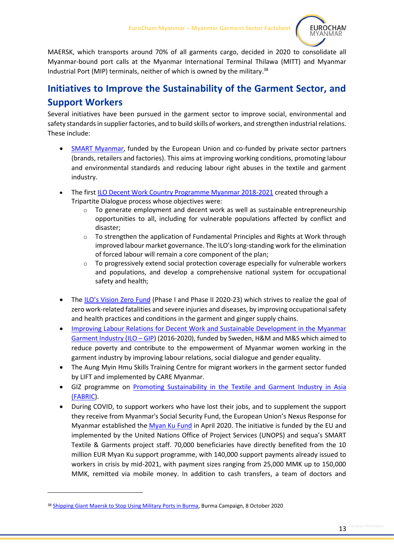

MAERSK, which transports around 70% of all garments cargo, decided in 2020 to consolidate all Myanmar-bound port calls at the Myanmar International Terminal Thilawa (MITT) and Myanmar Industrial Port (MIP) terminals, neither of which is owned by the military.<sup>38</sup>

## <span id="page-12-0"></span>**Initiatives to Improve the Sustainability of the Garment Sector, and Support Workers**

Several initiatives have been pursued in the garment sector to improve social, environmental and safety standardsin supplier factories, and to build skills of workers, and strengthen industrial relations. These include:

- [SMART Myanmar,](https://smartmyanmar.org/en) funded by the European Union and co-funded by private sector partners (brands, retailers and factories). This aims at improving working conditions, promoting labour and environmental standards and reducing labour right abuses in the textile and garment industry.
- The first [ILO Decent Work Country Programme Myanmar 2018-2021](https://www.ilo.org/global/about-the-ilo/how-the-ilo-works/departments-and-offices/program/dwcp/WCMS_651152/lang--en/index.htm) created through a Tripartite Dialogue process whose objectives were:
	- o To generate employment and decent work as well as sustainable entrepreneurship opportunities to all, including for vulnerable populations affected by conflict and disaster;
	- $\circ$  To strengthen the application of Fundamental Principles and Rights at Work through improved labour market governance. The ILO's long-standing work for the elimination of forced labour will remain a core component of the plan;
	- $\circ$  To progressively extend social protection coverage especially for vulnerable workers and populations, and develop a comprehensive national system for occupational safety and health;
- The [ILO's Vision Zero Fund](https://www.ilo.org/global/topics/safety-and-health-at-work/programmes-projects/WCMS_563285/lang--en/index.htm) (Phase I and Phase II 2020-23) which strives to realize the goal of zero work-related fatalities and severe injuries and diseases, by improving occupational safety and health practices and conditions in the garment and ginger supply chains.
- [Improving Labour Relations for Decent Work and Sustainable Development in the Myanmar](https://www.ilo.org/yangon/projects/WCMS_568604/lang--en/index.htm)  [Garment Industry \(ILO](https://www.ilo.org/yangon/projects/WCMS_568604/lang--en/index.htm) – GIP) (2016-2020), funded by Sweden, H&M and M&S which aimed to reduce poverty and contribute to the empowerment of Myanmar women working in the garment industry by improving labour relations, social dialogue and gender equality.
- The Aung Myin Hmu Skills Training Centre for migrant workers in the garment sector funded by LIFT and implemented by CARE Myanmar.
- GIZ programme on [Promoting Sustainability in the Textile and Garment Industry in Asia](https://www.giz.de/en/worldwide/34136.html)  [\(FABRIC\)](https://www.giz.de/en/worldwide/34136.html).
- During COVID, to support workers who have lost their jobs, and to supplement the support they receive from Myanmar's Social Security Fund, the European Union's Nexus Response for Myanmar established the [Myan Ku Fund](https://smartmyanmar.org/en/eu-myan-ku-fund) in April 2020. The initiative is funded by the EU and implemented by the United Nations Office of Project Services (UNOPS) and sequa's SMART Textile & Garments project staff. 70,000 beneficiaries have directly benefited from the 10 million EUR Myan Ku support programme, with 140,000 support payments already issued to workers in crisis by mid-2021, with payment sizes ranging from 25,000 MMK up to 150,000 MMK, remitted via mobile money. In addition to cash transfers, a team of doctors and

<sup>38</sup> [Shipping Giant Maersk to Stop Using Military Ports in Burma,](https://burmacampaign.org.uk/shipping-giant-maersk-to-stop-using-military-ports-in-burma/) Burma Campaign, 8 October 2020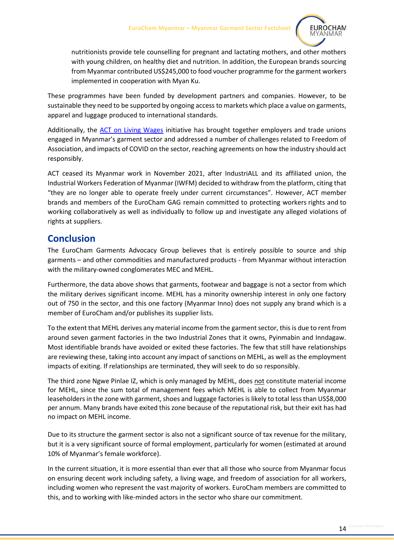

nutritionists provide tele counselling for pregnant and lactating mothers, and other mothers with young children, on healthy diet and nutrition. In addition, the European brands sourcing from Myanmar contributed US\$245,000 to food voucher programme for the garment workers implemented in cooperation with Myan Ku.

These programmes have been funded by development partners and companies. However, to be sustainable they need to be supported by ongoing access to markets which place a value on garments, apparel and luggage produced to international standards.

Additionally, the ACT [on Living Wages](https://actonlivingwages.com/where-we-work/myanmar/) initiative has brought together employers and trade unions engaged in Myanmar's garment sector and addressed a number of challenges related to Freedom of Association, and impacts of COVID on the sector, reaching agreements on how the industry should act responsibly.

ACT ceased its Myanmar work in November 2021, after IndustriALL and its affiliated union, the Industrial Workers Federation of Myanmar (IWFM) decided to withdraw from the platform, citing that "they are no longer able to operate freely under current circumstances". However, ACT member brands and members of the EuroCham GAG remain committed to protecting workers rights and to working collaboratively as well as individually to follow up and investigate any alleged violations of rights at suppliers.

### <span id="page-13-0"></span>**Conclusion**

The EuroCham Garments Advocacy Group believes that is entirely possible to source and ship garments – and other commodities and manufactured products - from Myanmar without interaction with the military-owned conglomerates MEC and MEHL.

Furthermore, the data above shows that garments, footwear and baggage is not a sector from which the military derives significant income. MEHL has a minority ownership interest in only one factory out of 750 in the sector, and this one factory (Myanmar Inno) does not supply any brand which is a member of EuroCham and/or publishes its supplier lists.

To the extent that MEHL derives any material income from the garment sector, this is due to rent from around seven garment factories in the two Industrial Zones that it owns, Pyinmabin and Inndagaw. Most identifiable brands have avoided or exited these factories. The few that still have relationships are reviewing these, taking into account any impact of sanctions on MEHL, as well as the employment impacts of exiting. If relationships are terminated, they will seek to do so responsibly.

The third zone Ngwe Pinlae IZ, which is only managed by MEHL, does not constitute material income for MEHL, since the sum total of management fees which MEHL is able to collect from Myanmar leaseholders in the zone with garment, shoes and luggage factories is likely to total less than US\$8,000 per annum. Many brands have exited this zone because of the reputational risk, but their exit has had no impact on MEHL income.

Due to its structure the garment sector is also not a significant source of tax revenue for the military, but it is a very significant source of formal employment, particularly for women (estimated at around 10% of Myanmar's female workforce).

In the current situation, it is more essential than ever that all those who source from Myanmar focus on ensuring decent work including safety, a living wage, and freedom of association for all workers, including women who represent the vast majority of workers. EuroCham members are committed to this, and to working with like-minded actors in the sector who share our commitment.